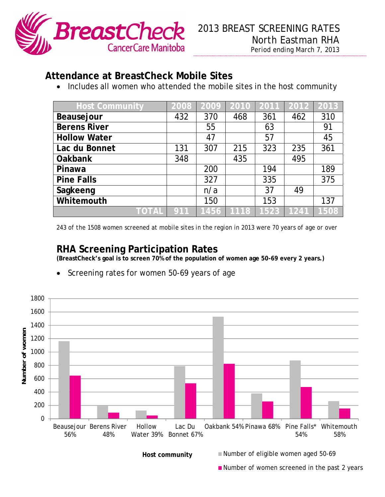

## **Attendance at BreastCheck Mobile Sites**

• Includes all women who attended the mobile sites in the host community

| <b>Host Community</b> | 2008 | 2009 | 2010 | 2011 | $\overline{2012}$ | 2013 |
|-----------------------|------|------|------|------|-------------------|------|
| Beausejour            | 432  | 370  | 468  | 361  | 462               | 310  |
| <b>Berens River</b>   |      | 55   |      | 63   |                   | 91   |
| <b>Hollow Water</b>   |      | 47   |      | 57   |                   | 45   |
| Lac du Bonnet         | 131  | 307  | 215  | 323  | 235               | 361  |
| <b>Oakbank</b>        | 348  |      | 435  |      | 495               |      |
| Pinawa                |      | 200  |      | 194  |                   | 189  |
| <b>Pine Falls</b>     |      | 327  |      | 335  |                   | 375  |
| Sagkeeng              |      | n/a  |      | 37   | 49                |      |
| Whitemouth            |      | 150  |      | 153  |                   | 137  |
| TOTAL                 | 911  | 1456 | 1118 | 1523 | 1241              | 1508 |

*243 of the 1508 women screened at mobile sites in the region in 2013 were 70 years of age or over* 

## **RHA Screening Participation Rates**

**(BreastCheck's goal is to screen 70% of the population of women age 50-69 every 2 years.)** 

- 1800 1600 1400 **Number of women** Number of women 1200 1000 800 600 400 200 0 Whitemouth Beausejour Berens River Hollow Lac Du Oakbank 54% Pinawa 68% Pine Falls\* 56% 48% Water 39% Bonnet 67% 54% 58%  $\frac{1}{20\%}$  For more internal communities please contact:  $\frac{1}{24\%}$
- Screening rates for women 50-69 years of age

 $B = \frac{P}{P}$  = National Conjunction Education Host community ■ Number of eligible women aged 50-69

**Number of women screened in the past 2 years**